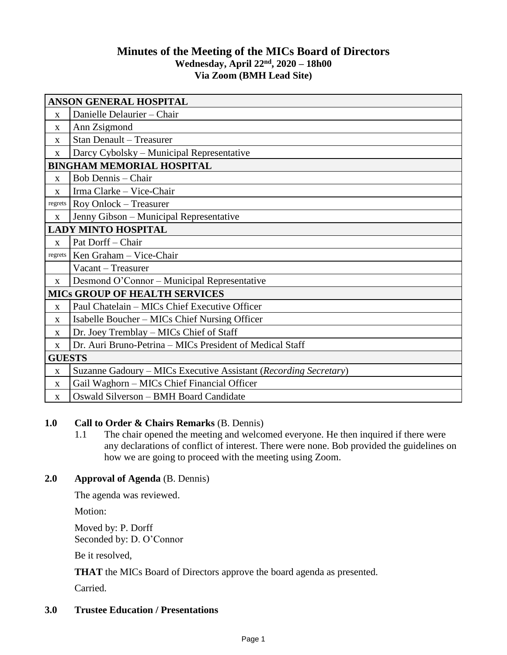# **Minutes of the Meeting of the MICs Board of Directors Wednesday, April 22 nd , 2020 – 18h00 Via Zoom (BMH Lead Site)**

| <b>ANSON GENERAL HOSPITAL</b>        |                                                                  |
|--------------------------------------|------------------------------------------------------------------|
| X                                    | Danielle Delaurier - Chair                                       |
| $\mathbf{X}$                         | Ann Zsigmond                                                     |
| X                                    | <b>Stan Denault - Treasurer</b>                                  |
| $\mathbf X$                          | Darcy Cybolsky – Municipal Representative                        |
| <b>BINGHAM MEMORIAL HOSPITAL</b>     |                                                                  |
| $\mathbf{x}$                         | <b>Bob Dennis</b> - Chair                                        |
| X                                    | Irma Clarke - Vice-Chair                                         |
| regrets                              | Roy Onlock - Treasurer                                           |
| X                                    | Jenny Gibson - Municipal Representative                          |
| <b>LADY MINTO HOSPITAL</b>           |                                                                  |
| X                                    | Pat Dorff - Chair                                                |
| regrets                              | Ken Graham - Vice-Chair                                          |
|                                      | Vacant - Treasurer                                               |
| $\mathbf{X}$                         | Desmond O'Connor – Municipal Representative                      |
| <b>MICS GROUP OF HEALTH SERVICES</b> |                                                                  |
| $\mathbf X$                          | Paul Chatelain - MICs Chief Executive Officer                    |
| $\mathbf{X}$                         | Isabelle Boucher – MICs Chief Nursing Officer                    |
| X                                    | Dr. Joey Tremblay – MICs Chief of Staff                          |
| X                                    | Dr. Auri Bruno-Petrina – MICs President of Medical Staff         |
| <b>GUESTS</b>                        |                                                                  |
| X                                    | Suzanne Gadoury - MICs Executive Assistant (Recording Secretary) |
| $\mathbf{X}$                         | Gail Waghorn – MICs Chief Financial Officer                      |
| X                                    | Oswald Silverson - BMH Board Candidate                           |

# **1.0 Call to Order & Chairs Remarks** (B. Dennis)

1.1 The chair opened the meeting and welcomed everyone. He then inquired if there were any declarations of conflict of interest. There were none. Bob provided the guidelines on how we are going to proceed with the meeting using Zoom.

# **2.0 Approval of Agenda** (B. Dennis)

The agenda was reviewed.

Motion:

Moved by: P. Dorff Seconded by: D. O'Connor

Be it resolved,

**THAT** the MICs Board of Directors approve the board agenda as presented.

Carried.

# **3.0 Trustee Education / Presentations**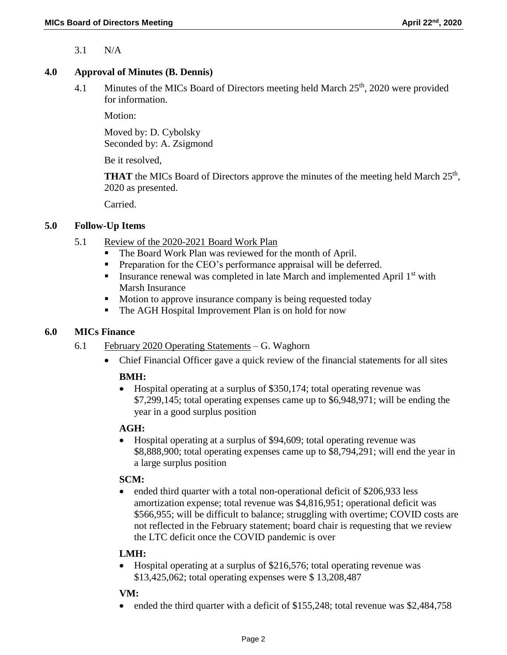3.1 N/A

#### **4.0 Approval of Minutes (B. Dennis)**

4.1 Minutes of the MICs Board of Directors meeting held March 25<sup>th</sup>, 2020 were provided for information.

Motion:

Moved by: D. Cybolsky Seconded by: A. Zsigmond

Be it resolved,

**THAT** the MICs Board of Directors approve the minutes of the meeting held March  $25<sup>th</sup>$ , 2020 as presented.

Carried.

#### **5.0 Follow-Up Items**

- 5.1 Review of the 2020-2021 Board Work Plan
	- The Board Work Plan was reviewed for the month of April.
	- **Preparation for the CEO's performance appraisal will be deferred.**
	- **IDED** Insurance renewal was completed in late March and implemented April  $1<sup>st</sup>$  with Marsh Insurance
	- Motion to approve insurance company is being requested today
	- The AGH Hospital Improvement Plan is on hold for now

#### **6.0 MICs Finance**

- 6.1 February 2020 Operating Statements G. Waghorn
	- Chief Financial Officer gave a quick review of the financial statements for all sites

### **BMH:**

 Hospital operating at a surplus of \$350,174; total operating revenue was \$7,299,145; total operating expenses came up to \$6,948,971; will be ending the year in a good surplus position

### **AGH:**

 Hospital operating at a surplus of \$94,609; total operating revenue was \$8,888,900; total operating expenses came up to \$8,794,291; will end the year in a large surplus position

### **SCM:**

• ended third quarter with a total non-operational deficit of \$206,933 less amortization expense; total revenue was \$4,816,951; operational deficit was \$566,955; will be difficult to balance; struggling with overtime; COVID costs are not reflected in the February statement; board chair is requesting that we review the LTC deficit once the COVID pandemic is over

### **LMH:**

• Hospital operating at a surplus of \$216,576; total operating revenue was \$13,425,062; total operating expenses were \$ 13,208,487

### **VM:**

ended the third quarter with a deficit of \$155,248; total revenue was \$2,484,758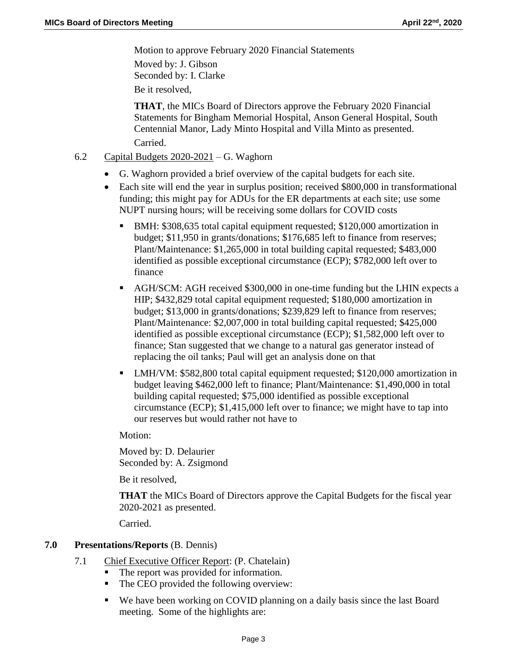Motion to approve February 2020 Financial Statements Moved by: J. Gibson Seconded by: I. Clarke Be it resolved,

**THAT**, the MICs Board of Directors approve the February 2020 Financial Statements for Bingham Memorial Hospital, Anson General Hospital, South Centennial Manor, Lady Minto Hospital and Villa Minto as presented. Carried.

- 6.2 Capital Budgets 2020-2021 G. Waghorn
	- G. Waghorn provided a brief overview of the capital budgets for each site.
	- Each site will end the year in surplus position; received \$800,000 in transformational funding; this might pay for ADUs for the ER departments at each site; use some NUPT nursing hours; will be receiving some dollars for COVID costs
		- BMH: \$308,635 total capital equipment requested; \$120,000 amortization in budget; \$11,950 in grants/donations; \$176,685 left to finance from reserves; Plant/Maintenance: \$1,265,000 in total building capital requested; \$483,000 identified as possible exceptional circumstance (ECP); \$782,000 left over to finance
		- AGH/SCM: AGH received \$300,000 in one-time funding but the LHIN expects a HIP; \$432,829 total capital equipment requested; \$180,000 amortization in budget; \$13,000 in grants/donations; \$239,829 left to finance from reserves; Plant/Maintenance: \$2,007,000 in total building capital requested; \$425,000 identified as possible exceptional circumstance (ECP); \$1,582,000 left over to finance; Stan suggested that we change to a natural gas generator instead of replacing the oil tanks; Paul will get an analysis done on that
		- LMH/VM: \$582,800 total capital equipment requested; \$120,000 amortization in budget leaving \$462,000 left to finance; Plant/Maintenance: \$1,490,000 in total building capital requested; \$75,000 identified as possible exceptional circumstance (ECP); \$1,415,000 left over to finance; we might have to tap into our reserves but would rather not have to

Motion:

Moved by: D. Delaurier Seconded by: A. Zsigmond

Be it resolved,

**THAT** the MICs Board of Directors approve the Capital Budgets for the fiscal year 2020-2021 as presented.

Carried.

### **7.0 Presentations/Reports** (B. Dennis)

- 7.1 Chief Executive Officer Report: (P. Chatelain)
	- The report was provided for information.
	- The CEO provided the following overview:
	- We have been working on COVID planning on a daily basis since the last Board meeting. Some of the highlights are: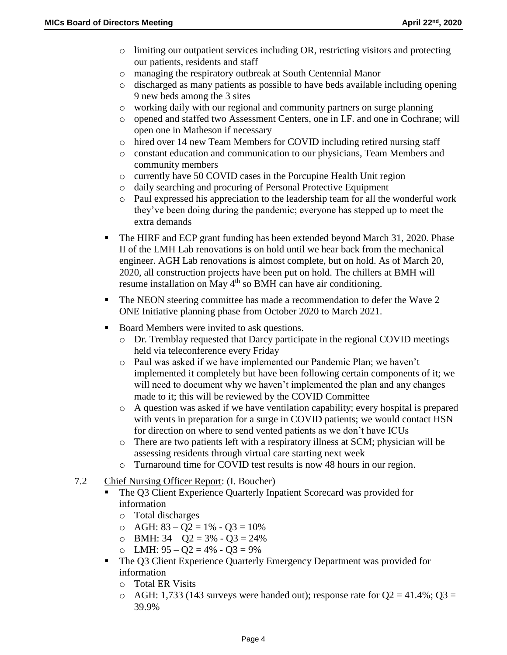- o limiting our outpatient services including OR, restricting visitors and protecting our patients, residents and staff
- o managing the respiratory outbreak at South Centennial Manor
- o discharged as many patients as possible to have beds available including opening 9 new beds among the 3 sites
- o working daily with our regional and community partners on surge planning
- o opened and staffed two Assessment Centers, one in I.F. and one in Cochrane; will open one in Matheson if necessary
- o hired over 14 new Team Members for COVID including retired nursing staff
- o constant education and communication to our physicians, Team Members and community members
- o currently have 50 COVID cases in the Porcupine Health Unit region
- o daily searching and procuring of Personal Protective Equipment
- o Paul expressed his appreciation to the leadership team for all the wonderful work they've been doing during the pandemic; everyone has stepped up to meet the extra demands
- The HIRF and ECP grant funding has been extended beyond March 31, 2020. Phase II of the LMH Lab renovations is on hold until we hear back from the mechanical engineer. AGH Lab renovations is almost complete, but on hold. As of March 20, 2020, all construction projects have been put on hold. The chillers at BMH will resume installation on May 4<sup>th</sup> so BMH can have air conditioning.
- The NEON steering committee has made a recommendation to defer the Wave 2 ONE Initiative planning phase from October 2020 to March 2021.
- Board Members were invited to ask questions.
	- o Dr. Tremblay requested that Darcy participate in the regional COVID meetings held via teleconference every Friday
	- o Paul was asked if we have implemented our Pandemic Plan; we haven't implemented it completely but have been following certain components of it; we will need to document why we haven't implemented the plan and any changes made to it; this will be reviewed by the COVID Committee
	- o A question was asked if we have ventilation capability; every hospital is prepared with vents in preparation for a surge in COVID patients; we would contact HSN for direction on where to send vented patients as we don't have ICUs
	- o There are two patients left with a respiratory illness at SCM; physician will be assessing residents through virtual care starting next week
	- o Turnaround time for COVID test results is now 48 hours in our region.
- 7.2 Chief Nursing Officer Report: (I. Boucher)
	- The Q3 Client Experience Quarterly Inpatient Scorecard was provided for information
		- o Total discharges
		- $\circ$  AGH: 83 Q2 = 1% Q3 = 10%
		- $O$  BMH:  $34 Q2 = 3\% Q3 = 24\%$
		- $O$  LMH:  $95 Q2 = 4\% Q3 = 9\%$
	- The Q3 Client Experience Quarterly Emergency Department was provided for information
		- o Total ER Visits
		- $\circ$  AGH: 1,733 (143 surveys were handed out); response rate for Q2 = 41.4%; Q3 = 39.9%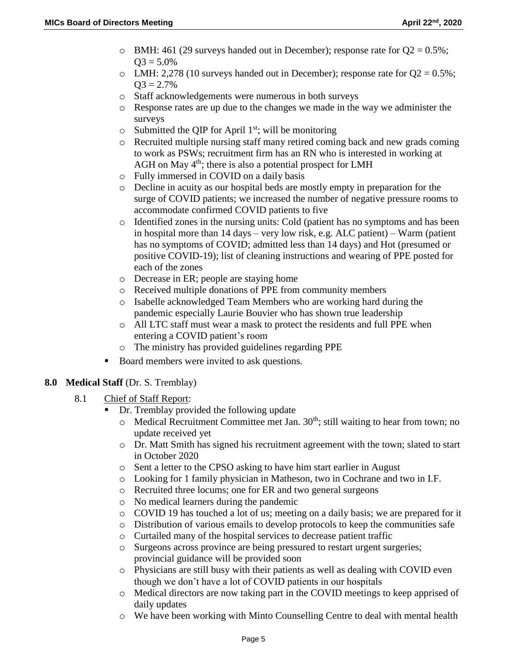- $\circ$  BMH: 461 (29 surveys handed out in December); response rate for Q2 = 0.5%;  $O3 = 5.0%$
- $\circ$  LMH: 2,278 (10 surveys handed out in December); response rate for O2 = 0.5%;  $Q3 = 2.7\%$
- o Staff acknowledgements were numerous in both surveys
- o Response rates are up due to the changes we made in the way we administer the surveys
- $\circ$  Submitted the QIP for April 1<sup>st</sup>; will be monitoring
- o Recruited multiple nursing staff many retired coming back and new grads coming to work as PSWs; recruitment firm has an RN who is interested in working at AGH on May  $4<sup>th</sup>$ ; there is also a potential prospect for LMH
- o Fully immersed in COVID on a daily basis
- o Decline in acuity as our hospital beds are mostly empty in preparation for the surge of COVID patients; we increased the number of negative pressure rooms to accommodate confirmed COVID patients to five
- o Identified zones in the nursing units: Cold (patient has no symptoms and has been in hospital more than 14 days – very low risk, e.g. ALC patient) – Warm (patient has no symptoms of COVID; admitted less than 14 days) and Hot (presumed or positive COVID-19); list of cleaning instructions and wearing of PPE posted for each of the zones
- o Decrease in ER; people are staying home
- o Received multiple donations of PPE from community members
- o Isabelle acknowledged Team Members who are working hard during the pandemic especially Laurie Bouvier who has shown true leadership
- o All LTC staff must wear a mask to protect the residents and full PPE when entering a COVID patient's room
- o The ministry has provided guidelines regarding PPE
- Board members were invited to ask questions.

### **8.0 Medical Staff** (Dr. S. Tremblay)

- 8.1 Chief of Staff Report:
	- Dr. Tremblay provided the following update
		- $\circ$  Medical Recruitment Committee met Jan. 30<sup>th</sup>; still waiting to hear from town; no update received yet
		- o Dr. Matt Smith has signed his recruitment agreement with the town; slated to start in October 2020
		- o Sent a letter to the CPSO asking to have him start earlier in August
		- o Looking for 1 family physician in Matheson, two in Cochrane and two in I.F.
		- o Recruited three locums; one for ER and two general surgeons
		- o No medical learners during the pandemic
		- o COVID 19 has touched a lot of us; meeting on a daily basis; we are prepared for it
		- o Distribution of various emails to develop protocols to keep the communities safe
		- o Curtailed many of the hospital services to decrease patient traffic
		- o Surgeons across province are being pressured to restart urgent surgeries; provincial guidance will be provided soon
		- o Physicians are still busy with their patients as well as dealing with COVID even though we don't have a lot of COVID patients in our hospitals
		- o Medical directors are now taking part in the COVID meetings to keep apprised of daily updates
		- o We have been working with Minto Counselling Centre to deal with mental health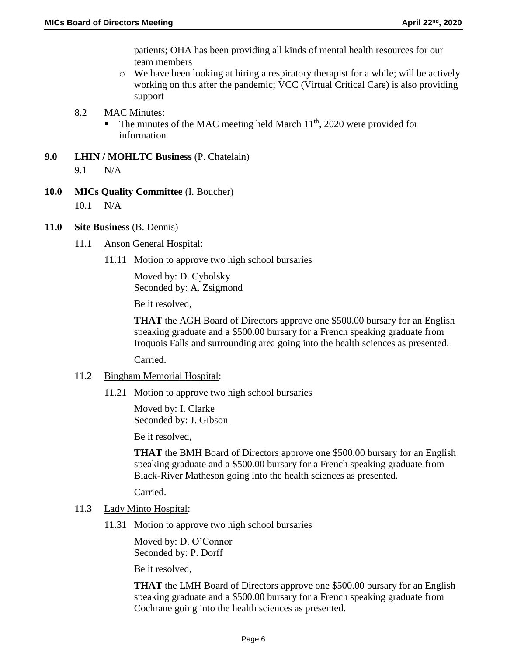patients; OHA has been providing all kinds of mental health resources for our team members

- $\circ$  We have been looking at hiring a respiratory therapist for a while; will be actively working on this after the pandemic; VCC (Virtual Critical Care) is also providing support
- 8.2 MAC Minutes:
	- $\blacksquare$  The minutes of the MAC meeting held March 11<sup>th</sup>, 2020 were provided for information
- **9.0 LHIN / MOHLTC Business** (P. Chatelain) 9.1 N/A
- **10.0 MICs Quality Committee** (I. Boucher) 10.1 N/A
- **11.0 Site Business** (B. Dennis)
	- 11.1 Anson General Hospital:
		- 11.11 Motion to approve two high school bursaries

Moved by: D. Cybolsky Seconded by: A. Zsigmond

Be it resolved,

**THAT** the AGH Board of Directors approve one \$500.00 bursary for an English speaking graduate and a \$500.00 bursary for a French speaking graduate from Iroquois Falls and surrounding area going into the health sciences as presented.

Carried.

- 11.2 Bingham Memorial Hospital:
	- 11.21 Motion to approve two high school bursaries

Moved by: I. Clarke Seconded by: J. Gibson

Be it resolved,

**THAT** the BMH Board of Directors approve one \$500.00 bursary for an English speaking graduate and a \$500.00 bursary for a French speaking graduate from Black-River Matheson going into the health sciences as presented.

Carried.

- 11.3 Lady Minto Hospital:
	- 11.31 Motion to approve two high school bursaries

Moved by: D. O'Connor Seconded by: P. Dorff

Be it resolved,

**THAT** the LMH Board of Directors approve one \$500.00 bursary for an English speaking graduate and a \$500.00 bursary for a French speaking graduate from Cochrane going into the health sciences as presented.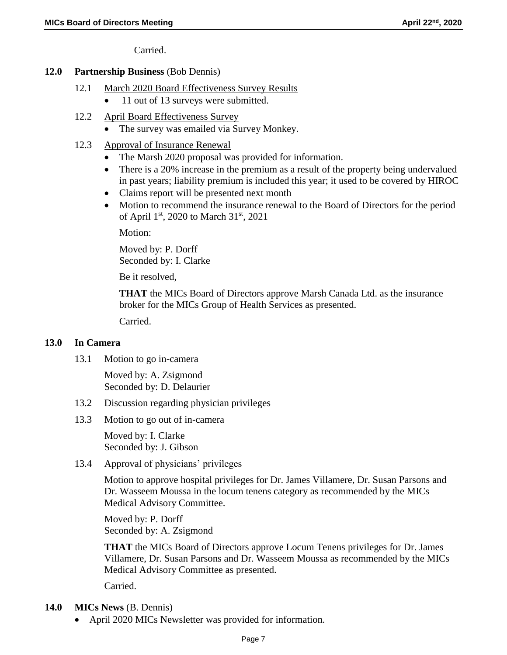Carried.

### **12.0 Partnership Business** (Bob Dennis)

- 12.1 March 2020 Board Effectiveness Survey Results
	- 11 out of 13 surveys were submitted.
- 12.2 April Board Effectiveness Survey
	- The survey was emailed via Survey Monkey.
- 12.3 Approval of Insurance Renewal
	- The Marsh 2020 proposal was provided for information.
	- There is a 20% increase in the premium as a result of the property being undervalued in past years; liability premium is included this year; it used to be covered by HIROC
	- Claims report will be presented next month
	- Motion to recommend the insurance renewal to the Board of Directors for the period of April 1<sup>st</sup>, 2020 to March 31<sup>st</sup>, 2021

Motion:

Moved by: P. Dorff Seconded by: I. Clarke

Be it resolved,

**THAT** the MICs Board of Directors approve Marsh Canada Ltd. as the insurance broker for the MICs Group of Health Services as presented.

Carried.

# **13.0 In Camera**

13.1 Motion to go in-camera

Moved by: A. Zsigmond Seconded by: D. Delaurier

- 13.2 Discussion regarding physician privileges
- 13.3 Motion to go out of in-camera

Moved by: I. Clarke Seconded by: J. Gibson

13.4 Approval of physicians' privileges

Motion to approve hospital privileges for Dr. James Villamere, Dr. Susan Parsons and Dr. Wasseem Moussa in the locum tenens category as recommended by the MICs Medical Advisory Committee.

Moved by: P. Dorff Seconded by: A. Zsigmond

**THAT** the MICs Board of Directors approve Locum Tenens privileges for Dr. James Villamere, Dr. Susan Parsons and Dr. Wasseem Moussa as recommended by the MICs Medical Advisory Committee as presented.

Carried.

- **14.0 MICs News** (B. Dennis)
	- April 2020 MICs Newsletter was provided for information.